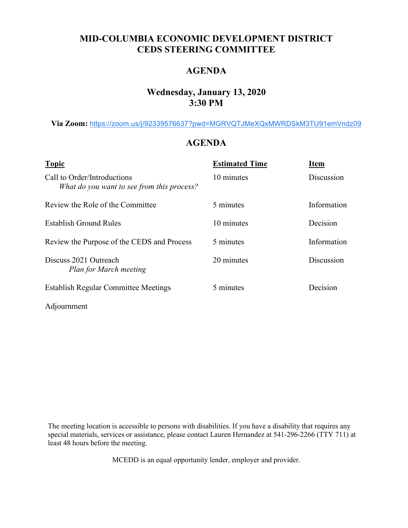### **MID-COLUMBIA ECONOMIC DEVELOPMENT DISTRICT CEDS STEERING COMMITTEE**

### **AGENDA**

#### **Wednesday, January 13, 2020 3:30 PM**

**Via Zoom:** [https://zoom.us/j/92339576637?pwd=MGRVQTJMeXQxMWRDSkM3TU91emVndz09](https://www.google.com/url?q=https://zoom.us/j/92339576637?pwd%3DMGRVQTJMeXQxMWRDSkM3TU91emVndz09&sa=D&source=calendar&ust=1609689351632000&usg=AOvVaw0Uhr5NgAlK-ztxCYh-9sfo)

#### **AGENDA**

| <b>Topic</b>                                                              | <b>Estimated Time</b> | <b>Item</b> |
|---------------------------------------------------------------------------|-----------------------|-------------|
| Call to Order/Introductions<br>What do you want to see from this process? | 10 minutes            | Discussion  |
| Review the Role of the Committee                                          | 5 minutes             | Information |
| Establish Ground Rules                                                    | 10 minutes            | Decision    |
| Review the Purpose of the CEDS and Process                                | 5 minutes             | Information |
| Discuss 2021 Outreach<br><b>Plan for March meeting</b>                    | 20 minutes            | Discussion  |
| <b>Establish Regular Committee Meetings</b>                               | 5 minutes             | Decision    |
| Adjournment                                                               |                       |             |

The meeting location is accessible to persons with disabilities. If you have a disability that requires any special materials, services or assistance, please contact Lauren Hernandez at 541-296-2266 (TTY 711) at least 48 hours before the meeting.

MCEDD is an equal opportunity lender, employer and provider.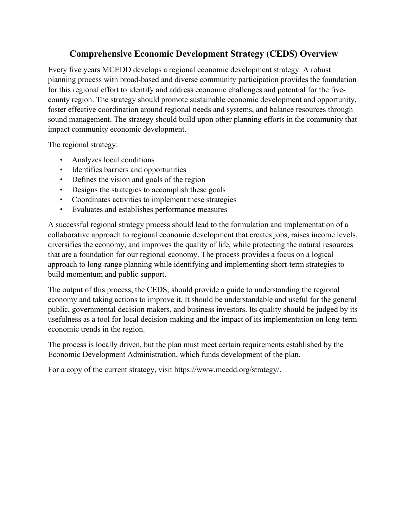### **Comprehensive Economic Development Strategy (CEDS) Overview**

Every five years MCEDD develops a regional economic development strategy. A robust planning process with broad-based and diverse community participation provides the foundation for this regional effort to identify and address economic challenges and potential for the fivecounty region. The strategy should promote sustainable economic development and opportunity, foster effective coordination around regional needs and systems, and balance resources through sound management. The strategy should build upon other planning efforts in the community that impact community economic development.

The regional strategy:

- Analyzes local conditions
- Identifies barriers and opportunities
- Defines the vision and goals of the region
- Designs the strategies to accomplish these goals
- Coordinates activities to implement these strategies
- Evaluates and establishes performance measures

A successful regional strategy process should lead to the formulation and implementation of a collaborative approach to regional economic development that creates jobs, raises income levels, diversifies the economy, and improves the quality of life, while protecting the natural resources that are a foundation for our regional economy. The process provides a focus on a logical approach to long-range planning while identifying and implementing short-term strategies to build momentum and public support.

The output of this process, the CEDS, should provide a guide to understanding the regional economy and taking actions to improve it. It should be understandable and useful for the general public, governmental decision makers, and business investors. Its quality should be judged by its usefulness as a tool for local decision-making and the impact of its implementation on long-term economic trends in the region.

The process is locally driven, but the plan must meet certain requirements established by the Economic Development Administration, which funds development of the plan.

For a copy of the current strategy, visit https://www.mcedd.org/strategy/.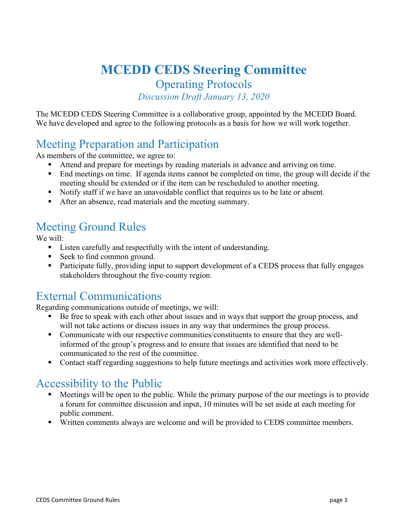# **MCEDD CEDS Steering Committee**

Operating Protocols *Discussion Draft January 13, 2020*

The MCEDD CEDS Steering Committee is a collaborative group, appointed by the MCEDD Board. We have developed and agree to the following protocols as a basis for how we will work together.

# Meeting Preparation and Participation

As members of the committee, we agree to:

- Attend and prepare for meetings by reading materials in advance and arriving on time.
- End meetings on time. If agenda items cannot be completed on time, the group will decide if the meeting should be extended or if the item can be rescheduled to another meeting.
- Notify staff if we have an unavoidable conflict that requires us to be late or absent.
- After an absence, read materials and the meeting summary.

# Meeting Ground Rules

We will:

- Listen carefully and respectfully with the intent of understanding.
- Seek to find common ground.
- **Participate fully, providing input to support development of a CEDS process that fully engages** stakeholders throughout the five-county region.

## External Communications

Regarding communications outside of meetings, we will:

- Be free to speak with each other about issues and in ways that support the group process, and will not take actions or discuss issues in any way that undermines the group process.
- Communicate with our respective communities/constituents to ensure that they are wellinformed of the group's progress and to ensure that issues are identified that need to be communicated to the rest of the committee.
- Contact staff regarding suggestions to help future meetings and activities work more effectively.

## Accessibility to the Public

- Meetings will be open to the public. While the primary purpose of the our meetings is to provide a forum for committee discussion and input, 10 minutes will be set aside at each meeting for public comment.
- Written comments always are welcome and will be provided to CEDS committee members.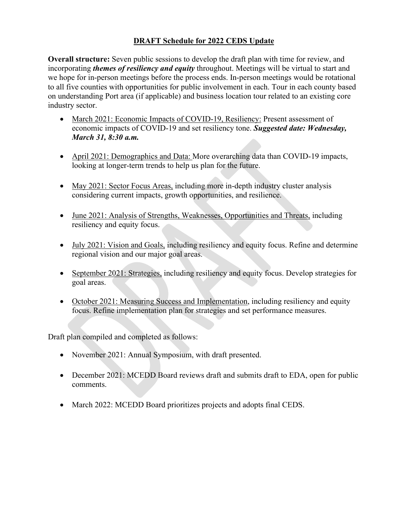#### **DRAFT Schedule for 2022 CEDS Update**

**Overall structure:** Seven public sessions to develop the draft plan with time for review, and incorporating *themes of resiliency and equity* throughout. Meetings will be virtual to start and we hope for in-person meetings before the process ends. In-person meetings would be rotational to all five counties with opportunities for public involvement in each. Tour in each county based on understanding Port area (if applicable) and business location tour related to an existing core industry sector.

- March 2021: Economic Impacts of COVID-19, Resiliency: Present assessment of economic impacts of COVID-19 and set resiliency tone. *Suggested date: Wednesday, March 31, 8:30 a.m.*
- April 2021: Demographics and Data: More overarching data than COVID-19 impacts, looking at longer-term trends to help us plan for the future.
- May 2021: Sector Focus Areas, including more in-depth industry cluster analysis considering current impacts, growth opportunities, and resilience.
- June 2021: Analysis of Strengths, Weaknesses, Opportunities and Threats, including resiliency and equity focus.
- July 2021: Vision and Goals, including resiliency and equity focus. Refine and determine regional vision and our major goal areas.
- September 2021: Strategies, including resiliency and equity focus. Develop strategies for goal areas.
- October 2021: Measuring Success and Implementation, including resiliency and equity focus. Refine implementation plan for strategies and set performance measures.

Draft plan compiled and completed as follows:

- November 2021: Annual Symposium, with draft presented.
- December 2021: MCEDD Board reviews draft and submits draft to EDA, open for public comments.
- March 2022: MCEDD Board prioritizes projects and adopts final CEDS.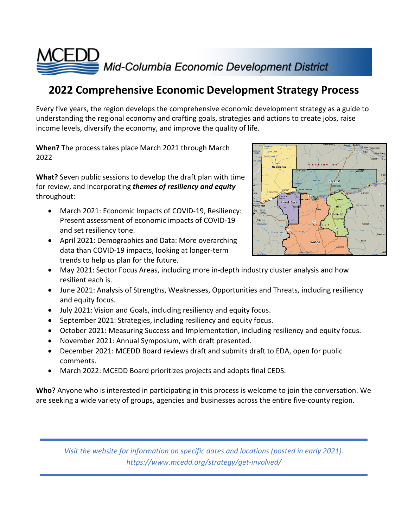

# **2022 Comprehensive Economic Development Strategy Process**

Every five years, the region develops the comprehensive economic development strategy as a guide to understanding the regional economy and crafting goals, strategies and actions to create jobs, raise income levels, diversify the economy, and improve the quality of life.

**When?** The process takes place March 2021 through March 2022

**What?** Seven public sessions to develop the draft plan with time for review, and incorporating *themes of resiliency and equity* throughout:

- March 2021: Economic Impacts of COVID-19, Resiliency: Present assessment of economic impacts of COVID-19 and set resiliency tone.
- April 2021: Demographics and Data: More overarching data than COVID-19 impacts, looking at longer-term trends to help us plan for the future.



- May 2021: Sector Focus Areas, including more in-depth industry cluster analysis and how resilient each is.
- June 2021: Analysis of Strengths, Weaknesses, Opportunities and Threats, including resiliency and equity focus.
- July 2021: Vision and Goals, including resiliency and equity focus.
- September 2021: Strategies, including resiliency and equity focus.
- October 2021: Measuring Success and Implementation, including resiliency and equity focus.
- November 2021: Annual Symposium, with draft presented.
- December 2021: MCEDD Board reviews draft and submits draft to EDA, open for public comments.
- March 2022: MCEDD Board prioritizes projects and adopts final CEDS.

**Who?** Anyone who is interested in participating in this process is welcome to join the conversation. We are seeking a wide variety of groups, agencies and businesses across the entire five-county region.

*Visit the website for information on specific dates and locations (posted in early 2021). https://www.mcedd.org/strategy/get-involved/*